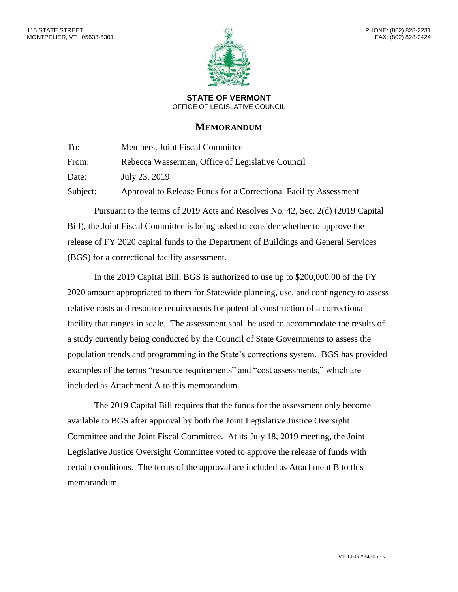

**STATE OF VERMONT** OFFICE OF LEGISLATIVE COUNCIL

## **MEMORANDUM**

To: Members, Joint Fiscal Committee From: Rebecca Wasserman, Office of Legislative Council

Date: July 23, 2019

Subject: Approval to Release Funds for a Correctional Facility Assessment

Pursuant to the terms of 2019 Acts and Resolves No. 42, Sec. 2(d) (2019 Capital Bill), the Joint Fiscal Committee is being asked to consider whether to approve the release of FY 2020 capital funds to the Department of Buildings and General Services (BGS) for a correctional facility assessment.

In the 2019 Capital Bill, BGS is authorized to use up to \$200,000.00 of the FY 2020 amount appropriated to them for Statewide planning, use, and contingency to assess relative costs and resource requirements for potential construction of a correctional facility that ranges in scale. The assessment shall be used to accommodate the results of a study currently being conducted by the Council of State Governments to assess the population trends and programming in the State's corrections system. BGS has provided examples of the terms "resource requirements" and "cost assessments," which are included as Attachment A to this memorandum.

The 2019 Capital Bill requires that the funds for the assessment only become available to BGS after approval by both the Joint Legislative Justice Oversight Committee and the Joint Fiscal Committee. At its July 18, 2019 meeting, the Joint Legislative Justice Oversight Committee voted to approve the release of funds with certain conditions. The terms of the approval are included as Attachment B to this memorandum.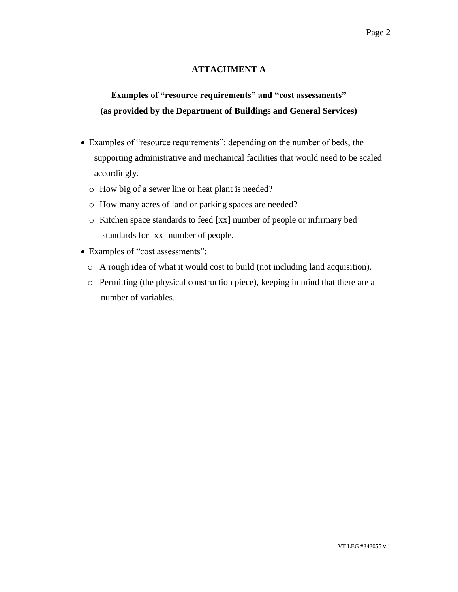## **ATTACHMENT A**

## **Examples of "resource requirements" and "cost assessments" (as provided by the Department of Buildings and General Services)**

- Examples of "resource requirements": depending on the number of beds, the supporting administrative and mechanical facilities that would need to be scaled accordingly.
	- o How big of a sewer line or heat plant is needed?
	- o How many acres of land or parking spaces are needed?
	- o Kitchen space standards to feed [xx] number of people or infirmary bed standards for [xx] number of people.
- Examples of "cost assessments":
	- o A rough idea of what it would cost to build (not including land acquisition).
	- o Permitting (the physical construction piece), keeping in mind that there are a number of variables.